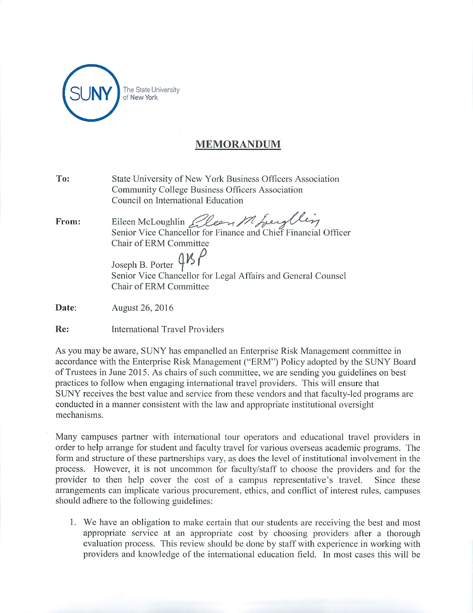

## *MEMORANDUM*

| To:   | State University of New York Business Officers Association<br>Community College Business Officers Association<br>Council on International Education                                                                                                              |
|-------|------------------------------------------------------------------------------------------------------------------------------------------------------------------------------------------------------------------------------------------------------------------|
| From: | Eileen McLoughlin <i>Eleen Mhreyllin</i><br>Senior Vice Chancellor for Finance and Chief Financial Officer<br>Chair of ERM Committee<br>Joseph B. Porter $\frac{1}{5}$<br>Senior Vice Chancellor for Legal Affairs and General Counsel<br>Chair of ERM Committee |
| Date: | August 26, 2016                                                                                                                                                                                                                                                  |
| Re:   | International Travel Providers                                                                                                                                                                                                                                   |

As you may be aware, SUNY has empanelled an Enterprise Risk Management committee in accordance with the Enterprise Risk Management ("ERM") Policy adopted by the SUNY Board of Trustees in June 2015. As chairs of such committee, we are sending you guidelines on best practices to follow when engaging international travel providers. This will ensure that SUNY receives the best value and service from these vendors and that faculty-led programs are conducted in a manner consistent with the law and appropriate institutional oversight mechanisms.

Many campuses partner with international tour operators and educational travel providers in order to help arrange for student and faculty travel for various overseas academic programs. The form and structure of these partnerships vary, as does the level of institutional involvement in the process. However, it is not uncommon for faculty/staff to choose the providers and for the provider to then help cover the cost of a campus representative's travel. Since these arrangements can implicate various procurement, ethics, and conflict of interest rules, campuses should adhere to the following guidelines:

1. We have an obligation to make certain that our students are receiving the best and most appropriate service at an appropriate cost by choosing providers after a thorough evaluation process. This review should be done by staff with experience in working with providers and knowledge of the international education field. In most cases this will be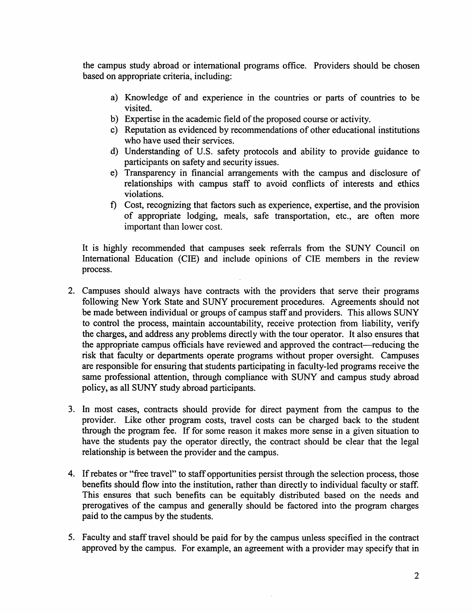the campus study abroad or international programs office. Providers should be chosen based on appropriate criteria, including:

- a) Knowledge of and experience in the countries or parts of countries to be visited.
- b) Expertise in the academic field of the proposed course or activity.
- c) Reputation as evidenced by recommendations of other educational institutions who have used their services.
- d) Understanding of U.S. safety protocols and ability to provide guidance to participants on safety and security issues.
- e) Transparency in financial arrangements with the campus and disclosure of relationships with campus staff to avoid conflicts of interests and ethics violations.
- f) Cost, recognizing that factors such as experience, expertise, and the provision of appropriate lodging, meals, safe transportation, etc., are often more important than lower cost.

It is highly recommended that campuses seek referrals from the SUNY Council on International Education (CIE) and include opinions of CIE members in the review process.

- 2. Campuses should always have contracts with the providers that serve their programs following New York State and SUNY procurement procedures. Agreements should not be made between individual or groups of campus staff and providers. This allows SUNY to control the process, maintain accountability, receive protection from liability, verify the charges, and address any problems directly with the tour operator. It also ensures that the appropriate campus officials have reviewed and approved the contract—reducing the risk that faculty or departments operate programs without proper oversight. Campuses are responsible for ensuring that students participating in faculty-led programs receive the same professional attention, through compliance with SUNY and campus study abroad policy, as all SUNY study abroad participants.
- 3. In most cases, contracts should provide for direct payment from the campus to the provider. Like other program costs, travel costs can be charged back to the student through the program fee. If for some reason it makes more sense in a given situation to have the students pay the operator directly, the contract should be clear that the legal relationship is between the provider and the campus.
- 4. Ifrebates or "free travel" to staff opportunities persist through the selection process, those benefits should flow into the institution, rather than directly to individual faculty or staff. This ensures that such benefits can be equitably distributed based on the needs and prerogatives of the campus and generally should be factored into the program charges paid to the campus by the students.
- 5. Faculty and staff travel should be paid for by the campus unless specified in the contract approved by the campus. For example, an agreement with a provider may specify that in